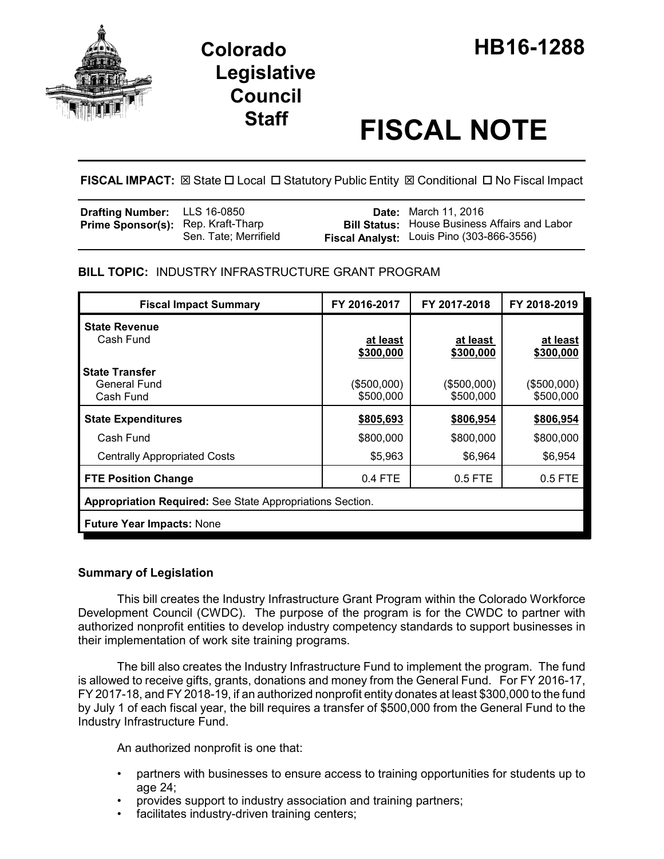

# **Staff FISCAL NOTE**

**FISCAL IMPACT:** ⊠ State □ Local □ Statutory Public Entity **図 Conditional □ No Fiscal Impact** 

| <b>Drafting Number:</b> LLS 16-0850       |                       | <b>Date:</b> March 11, 2016                          |
|-------------------------------------------|-----------------------|------------------------------------------------------|
| <b>Prime Sponsor(s):</b> Rep. Kraft-Tharp |                       | <b>Bill Status:</b> House Business Affairs and Labor |
|                                           | Sen. Tate; Merrifield | Fiscal Analyst: Louis Pino (303-866-3556)            |

## **BILL TOPIC:** INDUSTRY INFRASTRUCTURE GRANT PROGRAM

| <b>Fiscal Impact Summary</b>                              | FY 2016-2017             | FY 2017-2018             | FY 2018-2019             |  |  |
|-----------------------------------------------------------|--------------------------|--------------------------|--------------------------|--|--|
| <b>State Revenue</b><br>Cash Fund                         | at least<br>\$300,000    | at least<br>\$300,000    | at least<br>\$300,000    |  |  |
| <b>State Transfer</b><br>General Fund<br>Cash Fund        | (\$500,000)<br>\$500,000 | (\$500,000)<br>\$500,000 | (\$500,000)<br>\$500,000 |  |  |
| <b>State Expenditures</b>                                 | \$805,693                | \$806,954                | \$806,954                |  |  |
| Cash Fund                                                 | \$800,000                | \$800,000                | \$800,000                |  |  |
| <b>Centrally Appropriated Costs</b>                       | \$5,963                  | \$6,964                  | \$6,954                  |  |  |
| <b>FTE Position Change</b>                                | $0.4$ FTE                | $0.5$ FTE                | $0.5$ FTE                |  |  |
| Appropriation Required: See State Appropriations Section. |                          |                          |                          |  |  |
| <b>Future Year Impacts: None</b>                          |                          |                          |                          |  |  |

## **Summary of Legislation**

This bill creates the Industry Infrastructure Grant Program within the Colorado Workforce Development Council (CWDC). The purpose of the program is for the CWDC to partner with authorized nonprofit entities to develop industry competency standards to support businesses in their implementation of work site training programs.

The bill also creates the Industry Infrastructure Fund to implement the program. The fund is allowed to receive gifts, grants, donations and money from the General Fund. For FY 2016-17, FY 2017-18, and FY 2018-19, if an authorized nonprofit entity donates at least \$300,000 to the fund by July 1 of each fiscal year, the bill requires a transfer of \$500,000 from the General Fund to the Industry Infrastructure Fund.

An authorized nonprofit is one that:

- partners with businesses to ensure access to training opportunities for students up to age 24;
- provides support to industry association and training partners;
- facilitates industry-driven training centers;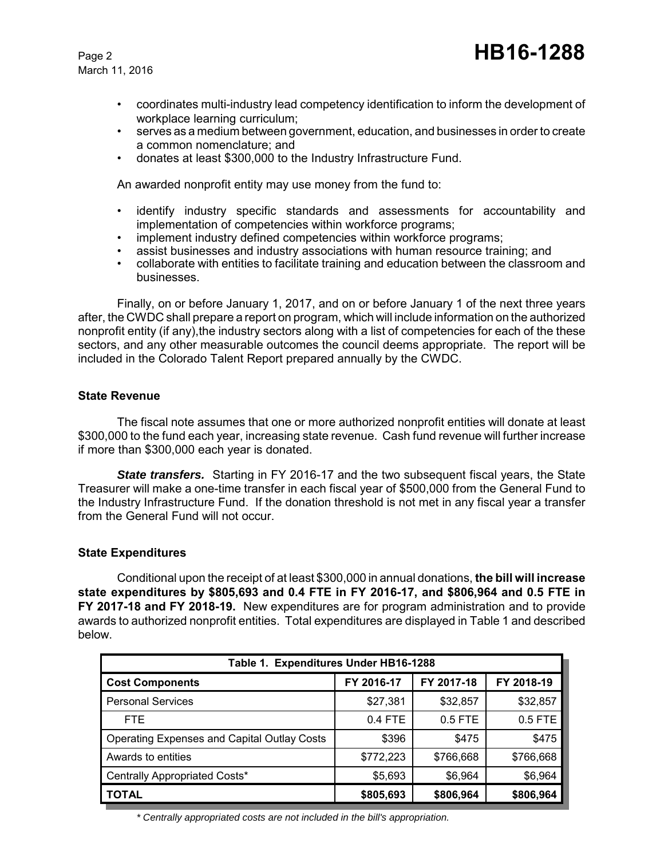March 11, 2016

- coordinates multi-industry lead competency identification to inform the development of workplace learning curriculum;
- serves as a medium between government, education, and businesses in order to create a common nomenclature; and
- donates at least \$300,000 to the Industry Infrastructure Fund.

An awarded nonprofit entity may use money from the fund to:

- identify industry specific standards and assessments for accountability and implementation of competencies within workforce programs;
- implement industry defined competencies within workforce programs;
- assist businesses and industry associations with human resource training; and
- collaborate with entities to facilitate training and education between the classroom and businesses.

Finally, on or before January 1, 2017, and on or before January 1 of the next three years after, the CWDC shall prepare a report on program, which will include information on the authorized nonprofit entity (if any),the industry sectors along with a list of competencies for each of the these sectors, and any other measurable outcomes the council deems appropriate. The report will be included in the Colorado Talent Report prepared annually by the CWDC.

### **State Revenue**

The fiscal note assumes that one or more authorized nonprofit entities will donate at least \$300,000 to the fund each year, increasing state revenue. Cash fund revenue will further increase if more than \$300,000 each year is donated.

*State transfers.* Starting in FY 2016-17 and the two subsequent fiscal years, the State Treasurer will make a one-time transfer in each fiscal year of \$500,000 from the General Fund to the Industry Infrastructure Fund. If the donation threshold is not met in any fiscal year a transfer from the General Fund will not occur.

#### **State Expenditures**

Conditional upon the receipt of at least \$300,000 in annual donations, **the bill will increase state expenditures by \$805,693 and 0.4 FTE in FY 2016-17, and \$806,964 and 0.5 FTE in FY 2017-18 and FY 2018-19.** New expenditures are for program administration and to provide awards to authorized nonprofit entities. Total expenditures are displayed in Table 1 and described below.

| Table 1. Expenditures Under HB16-1288              |            |            |            |  |  |  |
|----------------------------------------------------|------------|------------|------------|--|--|--|
| <b>Cost Components</b>                             | FY 2016-17 | FY 2017-18 | FY 2018-19 |  |  |  |
| <b>Personal Services</b>                           | \$27,381   | \$32,857   | \$32,857   |  |  |  |
| FTE.                                               | $0.4$ FTE  | $0.5$ FTE  | 0.5 FTE    |  |  |  |
| <b>Operating Expenses and Capital Outlay Costs</b> | \$396      | \$475      | \$475      |  |  |  |
| Awards to entities                                 | \$772,223  | \$766,668  | \$766,668  |  |  |  |
| Centrally Appropriated Costs*                      | \$5,693    | \$6,964    | \$6,964    |  |  |  |
| <b>TOTAL</b>                                       | \$805,693  | \$806,964  | \$806,964  |  |  |  |

*\* Centrally appropriated costs are not included in the bill's appropriation.*